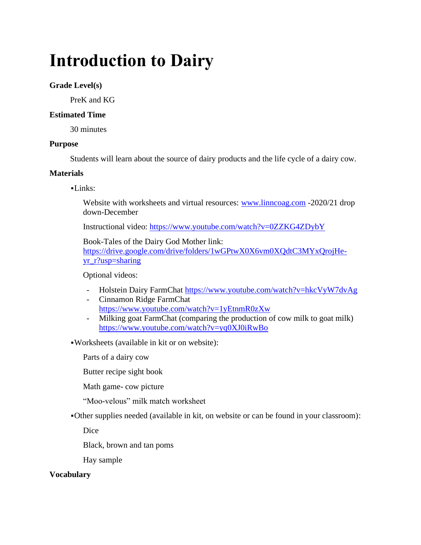# **Introduction to Dairy**

# **Grade Level(s)**

PreK and KG

# **Estimated Time**

30 minutes

# **Purpose**

Students will learn about the source of dairy products and the life cycle of a dairy cow.

# **Materials**

▪Links:

Website with worksheets and virtual resources: [www.linncoag.com](http://www.linncoag.com/) -2020/21 drop down-December

Instructional video: <https://www.youtube.com/watch?v=0ZZKG4ZDybY>

Book-Tales of the Dairy God Mother link: [https://drive.google.com/drive/folders/1wGPtwX0X6vm0XQdtC3MYxQrojHe](https://drive.google.com/drive/folders/1wGPtwX0X6vm0XQdtC3MYxQrojHe-yr_r?usp=sharing)[yr\\_r?usp=sharing](https://drive.google.com/drive/folders/1wGPtwX0X6vm0XQdtC3MYxQrojHe-yr_r?usp=sharing)

Optional videos:

- Holstein Dairy FarmChat<https://www.youtube.com/watch?v=hkcVyW7dvAg>
- Cinnamon Ridge FarmChat <https://www.youtube.com/watch?v=1yEtnmR0zXw>
- Milking goat FarmChat (comparing the production of cow milk to goat milk) <https://www.youtube.com/watch?v=yq0XJ0iRwBo>

▪Worksheets (available in kit or on website):

Parts of a dairy cow

Butter recipe sight book

Math game- cow picture

"Moo-velous" milk match worksheet

▪Other supplies needed (available in kit, on website or can be found in your classroom):

Dice

Black, brown and tan poms

Hay sample

# **Vocabulary**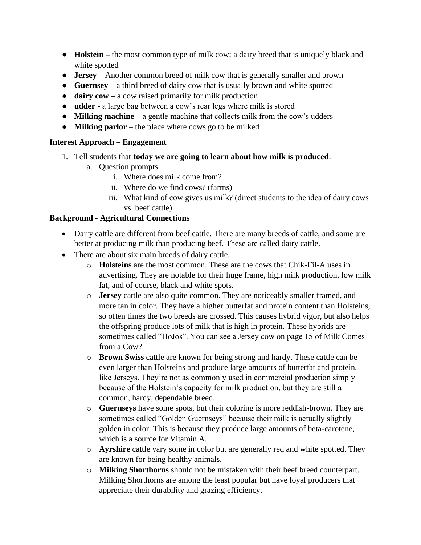- **Holstein –** the most common type of milk cow; a dairy breed that is uniquely black and white spotted
- **Jersey –** Another common breed of milk cow that is generally smaller and brown
- **Guernsey –** a third breed of dairy cow that is usually brown and white spotted
- **dairy cow –** a cow raised primarily for milk production
- **udder** a large bag between a cow's rear legs where milk is stored
- **Milking machine**  a gentle machine that collects milk from the cow's udders
- **Milking parlor** the place where cows go to be milked

# **Interest Approach – Engagement**

- 1. Tell students that **today we are going to learn about how milk is produced**.
	- a. Question prompts:
		- i. Where does milk come from?
		- ii. Where do we find cows? (farms)
		- iii. What kind of cow gives us milk? (direct students to the idea of dairy cows vs. beef cattle)

# **Background - Agricultural Connections**

- Dairy cattle are different from beef cattle. There are many breeds of cattle, and some are better at producing milk than producing beef. These are called dairy cattle.
- There are about six main breeds of dairy cattle.
	- o **Holsteins** are the most common. These are the cows that Chik-Fil-A uses in advertising. They are notable for their huge frame, high milk production, low milk fat, and of course, black and white spots.
	- o **Jersey** cattle are also quite common. They are noticeably smaller framed, and more tan in color. They have a higher butterfat and protein content than Holsteins, so often times the two breeds are crossed. This causes hybrid vigor, but also helps the offspring produce lots of milk that is high in protein. These hybrids are sometimes called "HoJos". You can see a Jersey cow on page 15 of Milk Comes from a Cow?
	- o **Brown Swiss** cattle are known for being strong and hardy. These cattle can be even larger than Holsteins and produce large amounts of butterfat and protein, like Jerseys. They're not as commonly used in commercial production simply because of the Holstein's capacity for milk production, but they are still a common, hardy, dependable breed.
	- o **Guernseys** have some spots, but their coloring is more reddish-brown. They are sometimes called "Golden Guernseys" because their milk is actually slightly golden in color. This is because they produce large amounts of beta-carotene, which is a source for Vitamin A.
	- o **Ayrshire** cattle vary some in color but are generally red and white spotted. They are known for being healthy animals.
	- o **Milking Shorthorns** should not be mistaken with their beef breed counterpart. Milking Shorthorns are among the least popular but have loyal producers that appreciate their durability and grazing efficiency.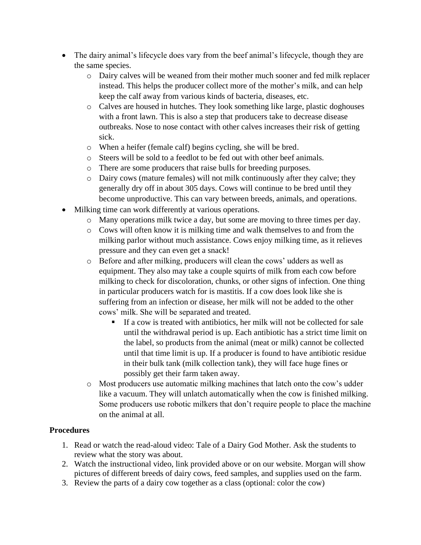- The dairy animal's lifecycle does vary from the beef animal's lifecycle, though they are the same species.
	- o Dairy calves will be weaned from their mother much sooner and fed milk replacer instead. This helps the producer collect more of the mother's milk, and can help keep the calf away from various kinds of bacteria, diseases, etc.
	- o Calves are housed in hutches. They look something like large, plastic doghouses with a front lawn. This is also a step that producers take to decrease disease outbreaks. Nose to nose contact with other calves increases their risk of getting sick.
	- o When a heifer (female calf) begins cycling, she will be bred.
	- o Steers will be sold to a feedlot to be fed out with other beef animals.
	- o There are some producers that raise bulls for breeding purposes.
	- o Dairy cows (mature females) will not milk continuously after they calve; they generally dry off in about 305 days. Cows will continue to be bred until they become unproductive. This can vary between breeds, animals, and operations.
- Milking time can work differently at various operations.
	- o Many operations milk twice a day, but some are moving to three times per day.
	- $\circ$  Cows will often know it is milking time and walk themselves to and from the milking parlor without much assistance. Cows enjoy milking time, as it relieves pressure and they can even get a snack!
	- o Before and after milking, producers will clean the cows' udders as well as equipment. They also may take a couple squirts of milk from each cow before milking to check for discoloration, chunks, or other signs of infection. One thing in particular producers watch for is mastitis. If a cow does look like she is suffering from an infection or disease, her milk will not be added to the other cows' milk. She will be separated and treated.
		- If a cow is treated with antibiotics, her milk will not be collected for sale until the withdrawal period is up. Each antibiotic has a strict time limit on the label, so products from the animal (meat or milk) cannot be collected until that time limit is up. If a producer is found to have antibiotic residue in their bulk tank (milk collection tank), they will face huge fines or possibly get their farm taken away.
	- o Most producers use automatic milking machines that latch onto the cow's udder like a vacuum. They will unlatch automatically when the cow is finished milking. Some producers use robotic milkers that don't require people to place the machine on the animal at all.

# **Procedures**

- 1. Read or watch the read-aloud video: Tale of a Dairy God Mother. Ask the students to review what the story was about.
- 2. Watch the instructional video, link provided above or on our website. Morgan will show pictures of different breeds of dairy cows, feed samples, and supplies used on the farm.
- 3. Review the parts of a dairy cow together as a class (optional: color the cow)